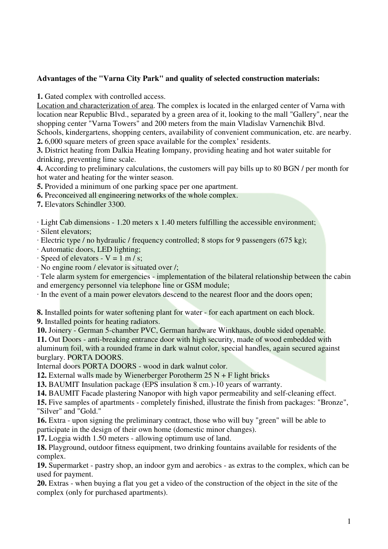# **Advantages of the "Varna City Park" and quality of selected construction materials:**

**1.** Gated complex with controlled access.

Location and characterization of area. The complex is located in the enlarged center of Varna with location near Republic Blvd., separated by a green area of it, looking to the mall "Gallery", near the shopping center "Varna Towers" and 200 meters from the main Vladislav Varnenchik Blvd. Schools, kindergartens, shopping centers, availability of convenient communication, etc. are nearby.

**2.** 6,000 square meters of green space available for the complex' residents.

**3.** District heating from Dalkia Heating Iompany, providing heating and hot water suitable for drinking, preventing lime scale.

**4.** According to preliminary calculations, the customers will pay bills up to 80 BGN / per month for hot water and heating for the winter season.

**5.** Provided a minimum of one parking space per one apartment.

**6.** Preconceived all engineering networks of the whole complex.

**7.** Elevators Schindler 3300.

· Light Cab dimensions - 1.20 meters x 1.40 meters fulfilling the accessible environment;

· Silent elevators;

· Electric type / no hydraulic / frequency controlled; 8 stops for 9 passengers (675 kg);

· Automatic doors, LED lighting;

 $\cdot$  Speed of elevators - V = 1 m / s;

· No engine room / elevator is situated over /;

· Tele alarm system for emergencies - implementation of the bilateral relationship between the cabin and emergency personnel via telephone line or GSM module;

· In the event of a main power elevators descend to the nearest floor and the doors open;

**8.** Installed points for water softening plant for water - for each apartment on each block.

**9.** Installed points for heating radiators.

**10.** Joinery - German 5-chamber PVC, German hardware Winkhaus, double sided openable. **11.** Out Doors - anti-breaking entrance door with high security, made of wood embedded with aluminum foil, with a rounded frame in dark walnut color, special handles, again secured against burglary. PORTA DOORS.

Internal doors PORTA DOORS - wood in dark walnut color.

**12.** External walls made by Wienerberger Porotherm 25 N + F light bricks

**13.** BAUMIT Insulation package (EPS insulation 8 cm.)-10 years of warranty.

**14.** BAUMIT Facade plastering Nanopor with high vapor permeability and self-cleaning effect.

**15.** Five samples of apartments - completely finished, illustrate the finish from packages: "Bronze", "Silver" and "Gold."

**16.** Extra - upon signing the preliminary contract, those who will buy "green" will be able to participate in the design of their own home (domestic minor changes).

**17.** Loggia width 1.50 meters - allowing optimum use of land.

**18.** Playground, outdoor fitness equipment, two drinking fountains available for residents of the complex.

**19.** Supermarket - pastry shop, an indoor gym and aerobics - as extras to the complex, which can be used for payment.

**20.** Extras - when buying a flat you get a video of the construction of the object in the site of the complex (only for purchased apartments).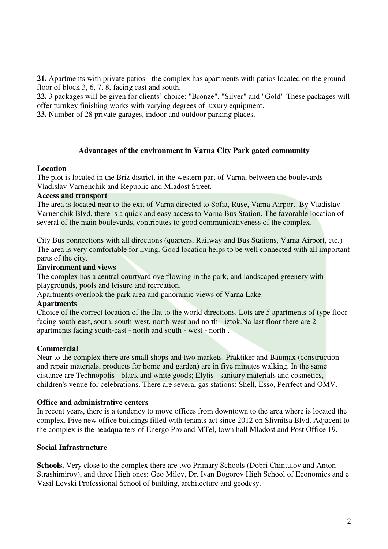**21.** Apartments with private patios - the complex has apartments with patios located on the ground floor of block 3, 6, 7, 8, facing east and south.

**22.** 3 packages will be given for clients' choice: "Bronze", "Silver" and "Gold"-These packages will offer turnkey finishing works with varying degrees of luxury equipment.

**23.** Number of 28 private garages, indoor and outdoor parking places.

## **Advantages of the environment in Varna City Park gated community**

### **Location**

The plot is located in the Briz district, in the western part of Varna, between the boulevards Vladislav Varnenchik and Republic and Mladost Street.

### **Access and transport**

The area is located near to the exit of Varna directed to Sofia, Ruse, Varna Airport. By Vladislav Varnenchik Blvd. there is a quick and easy access to Varna Bus Station. The favorable location of several of the main boulevards, contributes to good communicativeness of the complex.

City Bus connections with all directions (quarters, Railway and Bus Stations, Varna Airport, etc.) The area is very comfortable for living. Good location helps to be well connected with all important parts of the city.

## **Environment and views**

The complex has a central courtyard overflowing in the park, and landscaped greenery with playgrounds, pools and leisure and recreation.

Apartments overlook the park area and panoramic views of Varna Lake.

## **Apartments**

Choice of the correct location of the flat to the world directions. Lots are 5 apartments of type floor facing south-east, south, south-west, north-west and north - iztok.Na last floor there are 2 apartments facing south-east - north and south - west - north .

## **Commercial**

Near to the complex there are small shops and two markets. Praktiker and Baumax (construction and repair materials, products for home and garden) are in five minutes walking. In the same distance are Technopolis - black and white goods; Elytis - sanitary materials and cosmetics, children's venue for celebrations. There are several gas stations: Shell, Esso, Perrfect and OMV.

### **Office and administrative centers**

In recent years, there is a tendency to move offices from downtown to the area where is located the complex. Five new office buildings filled with tenants act since 2012 on Slivnitsa Blvd. Adjacent to the complex is the headquarters of Energo Pro and MTel, town hall Mladost and Post Office 19.

## **Social Infrastructure**

**Schools.** Very close to the complex there are two Primary Schools (Dobri Chintulov and Anton Strashimirov), and three High ones: Geo Milev, Dr. Ivan Bogorov High School of Economics and e Vasil Levski Professional School of building, architecture and geodesy.